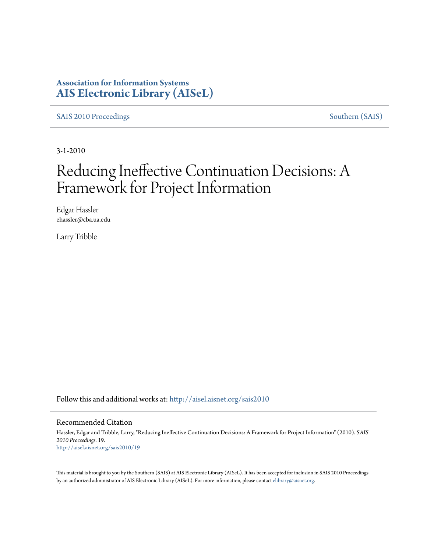### **Association for Information Systems [AIS Electronic Library \(AISeL\)](http://aisel.aisnet.org?utm_source=aisel.aisnet.org%2Fsais2010%2F19&utm_medium=PDF&utm_campaign=PDFCoverPages)**

[SAIS 2010 Proceedings](http://aisel.aisnet.org/sais2010?utm_source=aisel.aisnet.org%2Fsais2010%2F19&utm_medium=PDF&utm_campaign=PDFCoverPages) [Southern \(SAIS\)](http://aisel.aisnet.org/sais?utm_source=aisel.aisnet.org%2Fsais2010%2F19&utm_medium=PDF&utm_campaign=PDFCoverPages)

3-1-2010

# Reducing Ineffective Continuation Decisions: A Framework for Project Information

Edgar Hassler ehassler@cba.ua.edu

Larry Tribble

Follow this and additional works at: [http://aisel.aisnet.org/sais2010](http://aisel.aisnet.org/sais2010?utm_source=aisel.aisnet.org%2Fsais2010%2F19&utm_medium=PDF&utm_campaign=PDFCoverPages)

#### Recommended Citation

Hassler, Edgar and Tribble, Larry, "Reducing Ineffective Continuation Decisions: A Framework for Project Information" (2010). *SAIS 2010 Proceedings*. 19. [http://aisel.aisnet.org/sais2010/19](http://aisel.aisnet.org/sais2010/19?utm_source=aisel.aisnet.org%2Fsais2010%2F19&utm_medium=PDF&utm_campaign=PDFCoverPages)

This material is brought to you by the Southern (SAIS) at AIS Electronic Library (AISeL). It has been accepted for inclusion in SAIS 2010 Proceedings by an authorized administrator of AIS Electronic Library (AISeL). For more information, please contact [elibrary@aisnet.org](mailto:elibrary@aisnet.org%3E).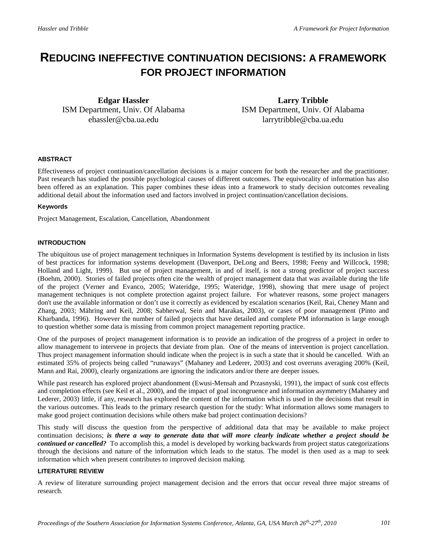## **REDUCING INEFFECTIVE CONTINUATION DECISIONS: A FRAMEWORK FOR PROJECT INFORMATION**

**Edgar Hassler** ISM Department, Univ. Of Alabama ehassler@cba.ua.edu

**Larry Tribble** ISM Department, Univ. Of Alabama larrytribble@cba.ua.edu

#### **ABSTRACT**

Effectiveness of project continuation/cancellation decisions is a major concern for both the researcher and the practitioner. Past research has studied the possible psychological causes of different outcomes. The equivocality of information has also been offered as an explanation. This paper combines these ideas into a framework to study decision outcomes revealing additional detail about the information used and factors involved in project continuation/cancellation decisions.

#### **Keywords**

Project Management, Escalation, Cancellation, Abandonment

#### **INTRODUCTION**

The ubiquitous use of project management techniques in Information Systems development is testified by its inclusion in lists of best practices for information systems development (Davenport, DeLong and Beers, 1998; Feeny and Willcock, 1998; Holland and Light, 1999). But use of project management, in and of itself, is not a strong predictor of project success (Boehm, 2000). Stories of failed projects often cite the wealth of project management data that was available during the life of the project (Verner and Evanco, 2005; Wateridge, 1995; Wateridge, 1998), showing that mere usage of project management techniques is not complete protection against project failure. For whatever reasons, some project managers don't use the available information or don't use it correctly as evidenced by escalation scenarios (Keil, Rai, Cheney Mann and Zhang, 2003; Mähring and Keil, 2008; Sabherwal, Sein and Marakas, 2003), or cases of poor management (Pinto and Kharbanda, 1996). However the number of failed projects that have detailed and complete PM information is large enough to question whether some data is missing from common project management reporting practice.

One of the purposes of project management information is to provide an indication of the progress of a project in order to allow management to intervene in projects that deviate from plan. One of the means of intervention is project cancellation. Thus project management information should indicate when the project is in such a state that it should be cancelled. With an estimated 35% of projects being called "runaways" (Mahaney and Lederer, 2003) and cost overruns averaging 200% (Keil, Mann and Rai, 2000), clearly organizations are ignoring the indicators and/or there are deeper issues.

While past research has explored project abandonment (Ewusi-Mensah and Przasnyski, 1991), the impact of sunk cost effects and completion effects (see Keil et al., 2000), and the impact of goal incongruence and information asymmetry (Mahaney and Lederer, 2003) little, if any, research has explored the content of the information which is used in the decisions that result in the various outcomes. This leads to the primary research question for the study: What information allows some managers to make good project continuation decisions while others make bad project continuation decisions?

This study will discuss the question from the perspective of additional data that may be available to make project continuation decisions; *is there a way to generate data that will more clearly indicate whether a project should be continued or cancelled?* To accomplish this, a model is developed by working backwards from project status categorizations through the decisions and nature of the information which leads to the status. The model is then used as a map to seek information which when present contributes to improved decision making.

#### **LITERATURE REVIEW**

A review of literature surrounding project management decision and the errors that occur reveal three major streams of research.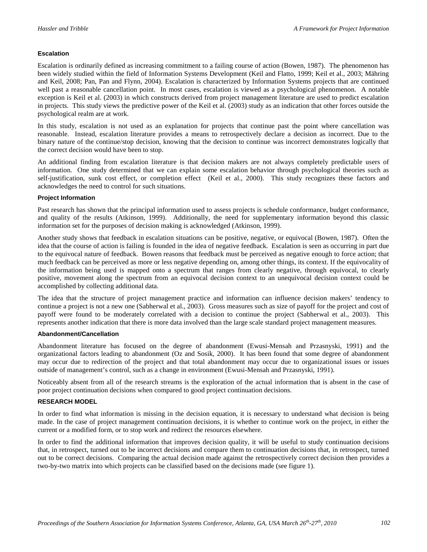#### **Escalation**

Escalation is ordinarily defined as increasing commitment to a failing course of action (Bowen, 1987). The phenomenon has been widely studied within the field of Information Systems Development (Keil and Flatto, 1999; Keil et al., 2003; Mähring and Keil, 2008; Pan, Pan and Flynn, 2004). Escalation is characterized by Information Systems projects that are continued well past a reasonable cancellation point. In most cases, escalation is viewed as a psychological phenomenon. A notable exception is Keil et al. (2003) in which constructs derived from project management literature are used to predict escalation in projects. This study views the predictive power of the Keil et al. (2003) study as an indication that other forces outside the psychological realm are at work.

In this study, escalation is not used as an explanation for projects that continue past the point where cancellation was reasonable. Instead, escalation literature provides a means to retrospectively declare a decision as incorrect. Due to the binary nature of the continue/stop decision, knowing that the decision to continue was incorrect demonstrates logically that the correct decision would have been to stop.

An additional finding from escalation literature is that decision makers are not always completely predictable users of information. One study determined that we can explain some escalation behavior through psychological theories such as self-justification, sunk cost effect, or completion effect (Keil et al., 2000). This study recognizes these factors and acknowledges the need to control for such situations.

#### **Project Information**

Past research has shown that the principal information used to assess projects is schedule conformance, budget conformance, and quality of the results (Atkinson, 1999). Additionally, the need for supplementary information beyond this classic information set for the purposes of decision making is acknowledged (Atkinson, 1999).

Another study shows that feedback in escalation situations can be positive, negative, or equivocal (Bowen, 1987). Often the idea that the course of action is failing is founded in the idea of negative feedback. Escalation is seen as occurring in part due to the equivocal nature of feedback. Bowen reasons that feedback must be perceived as negative enough to force action; that much feedback can be perceived as more or less negative depending on, among other things, its context. If the equivocality of the information being used is mapped onto a spectrum that ranges from clearly negative, through equivocal, to clearly positive, movement along the spectrum from an equivocal decision context to an unequivocal decision context could be accomplished by collecting additional data.

The idea that the structure of project management practice and information can influence decision makers' tendency to continue a project is not a new one (Sabherwal et al., 2003). Gross measures such as size of payoff for the project and cost of payoff were found to be moderately correlated with a decision to continue the project (Sabherwal et al., 2003). This represents another indication that there is more data involved than the large scale standard project management measures.

#### **Abandonment/Cancellation**

Abandonment literature has focused on the degree of abandonment (Ewusi-Mensah and Przasnyski, 1991) and the organizational factors leading to abandonment (Oz and Sosik, 2000). It has been found that some degree of abandonment may occur due to redirection of the project and that total abandonment may occur due to organizational issues or issues outside of management's control, such as a change in environment (Ewusi-Mensah and Przasnyski, 1991).

Noticeably absent from all of the research streams is the exploration of the actual information that is absent in the case of poor project continuation decisions when compared to good project continuation decisions.

#### **RESEARCH MODEL**

In order to find what information is missing in the decision equation, it is necessary to understand what decision is being made. In the case of project management continuation decisions, it is whether to continue work on the project, in either the current or a modified form, or to stop work and redirect the resources elsewhere.

In order to find the additional information that improves decision quality, it will be useful to study continuation decisions that, in retrospect, turned out to be incorrect decisions and compare them to continuation decisions that, in retrospect, turned out to be correct decisions. Comparing the actual decision made against the retrospectively correct decision then provides a two-by-two matrix into which projects can be classified based on the decisions made (see figure 1).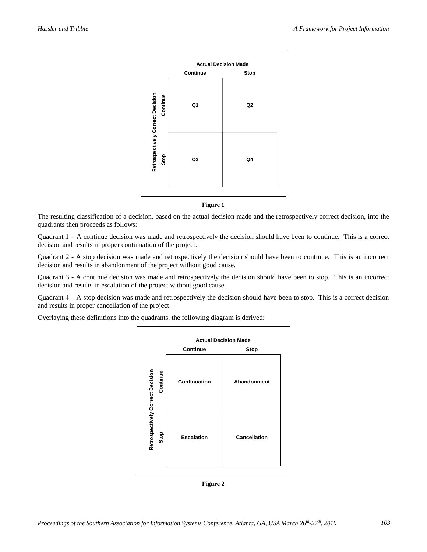

**Figure 1** 

The resulting classification of a decision, based on the actual decision made and the retrospectively correct decision, into the quadrants then proceeds as follows:

Quadrant 1 – A continue decision was made and retrospectively the decision should have been to continue. This is a correct decision and results in proper continuation of the project.

Quadrant 2 - A stop decision was made and retrospectively the decision should have been to continue. This is an incorrect decision and results in abandonment of the project without good cause.

Quadrant 3 - A continue decision was made and retrospectively the decision should have been to stop. This is an incorrect decision and results in escalation of the project without good cause.

Quadrant  $4 - A$  stop decision was made and retrospectively the decision should have been to stop. This is a correct decision and results in proper cancellation of the project.

Overlaying these definitions into the quadrants, the following diagram is derived:



**Figure 2**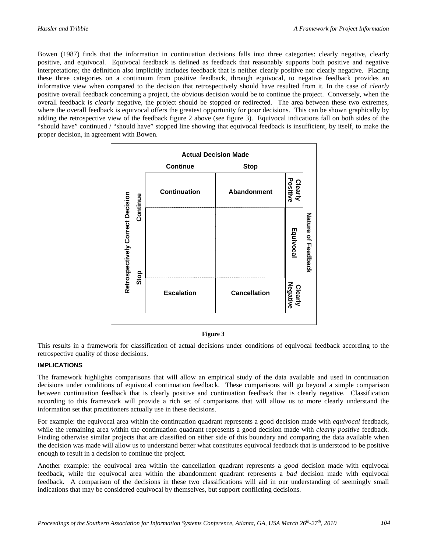Bowen (1987) finds that the information in continuation decisions falls into three categories: clearly negative, clearly positive, and equivocal. Equivocal feedback is defined as feedback that reasonably supports both positive and negative interpretations; the definition also implicitly includes feedback that is neither clearly positive nor clearly negative. Placing these three categories on a continuum from positive feedback, through equivocal, to negative feedback provides an informative view when compared to the decision that retrospectively should have resulted from it. In the case of *clearly* positive overall feedback concerning a project, the obvious decision would be to continue the project. Conversely, when the overall feedback is *clearly* negative, the project should be stopped or redirected. The area between these two extremes, where the overall feedback is equivocal offers the greatest opportunity for poor decisions. This can be shown graphically by adding the retrospective view of the feedback figure 2 above (see figure 3). Equivocal indications fall on both sides of the "should have" continued / "should have" stopped line showing that equivocal feedback is insufficient, by itself, to make the proper decision, in agreement with Bowen.



#### **Figure 3**

This results in a framework for classification of actual decisions under conditions of equivocal feedback according to the retrospective quality of those decisions.

#### **IMPLICATIONS**

The framework highlights comparisons that will allow an empirical study of the data available and used in continuation decisions under conditions of equivocal continuation feedback. These comparisons will go beyond a simple comparison between continuation feedback that is clearly positive and continuation feedback that is clearly negative. Classification according to this framework will provide a rich set of comparisons that will allow us to more clearly understand the information set that practitioners actually use in these decisions.

For example: the equivocal area within the continuation quadrant represents a good decision made with *equivocal* feedback, while the remaining area within the continuation quadrant represents a good decision made with *clearly positive* feedback. Finding otherwise similar projects that are classified on either side of this boundary and comparing the data available when the decision was made will allow us to understand better what constitutes equivocal feedback that is understood to be positive enough to result in a decision to continue the project.

Another example: the equivocal area within the cancellation quadrant represents a *good* decision made with equivocal feedback, while the equivocal area within the abandonment quadrant represents a *bad* decision made with equivocal feedback. A comparison of the decisions in these two classifications will aid in our understanding of seemingly small indications that may be considered equivocal by themselves, but support conflicting decisions.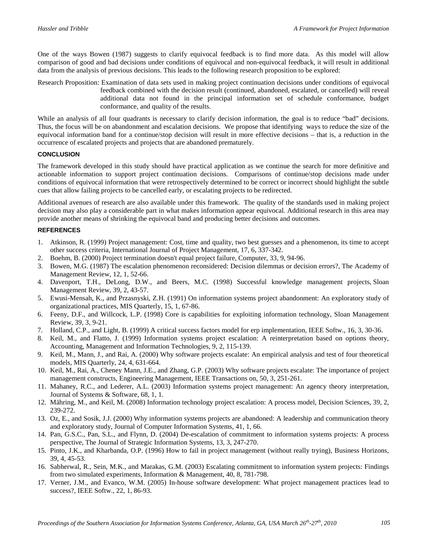One of the ways Bowen (1987) suggests to clarify equivocal feedback is to find more data. As this model will allow comparison of good and bad decisions under conditions of equivocal and non-equivocal feedback, it will result in additional data from the analysis of previous decisions. This leads to the following research proposition to be explored:

Research Proposition: Examination of data sets used in making project continuation decisions under conditions of equivocal feedback combined with the decision result (continued, abandoned, escalated, or cancelled) will reveal additional data not found in the principal information set of schedule conformance, budget conformance, and quality of the results.

While an analysis of all four quadrants is necessary to clarify decision information, the goal is to reduce "bad" decisions. Thus, the focus will be on abandonment and escalation decisions. We propose that identifying ways to reduce the size of the equivocal information band for a continue/stop decision will result in more effective decisions – that is, a reduction in the occurrence of escalated projects and projects that are abandoned prematurely.

#### **CONCLUSION**

The framework developed in this study should have practical application as we continue the search for more definitive and actionable information to support project continuation decisions. Comparisons of continue/stop decisions made under conditions of equivocal information that were retrospectively determined to be correct or incorrect should highlight the subtle cues that allow failing projects to be cancelled early, or escalating projects to be redirected.

Additional avenues of research are also available under this framework. The quality of the standards used in making project decision may also play a considerable part in what makes information appear equivocal. Additional research in this area may provide another means of shrinking the equivocal band and producing better decisions and outcomes.

#### **REFERENCES**

- 1. Atkinson, R. (1999) Project management: Cost, time and quality, two best guesses and a phenomenon, its time to accept other success criteria, International Journal of Project Management, 17, 6, 337-342.
- 2. Boehm, B. (2000) Project termination doesn't equal project failure, Computer, 33, 9, 94-96.
- 3. Bowen, M.G. (1987) The escalation phenomenon reconsidered: Decision dilemmas or decision errors?, The Academy of Management Review, 12, 1, 52-66.
- 4. Davenport, T.H., DeLong, D.W., and Beers, M.C. (1998) Successful knowledge management projects, Sloan Management Review, 39, 2, 43-57.
- 5. Ewusi-Mensah, K., and Przasnyski, Z.H. (1991) On information systems project abandonment: An exploratory study of organizational practices, MIS Quarterly, 15, 1, 67-86.
- 6. Feeny, D.F., and Willcock, L.P. (1998) Core is capabilities for exploiting information technology, Sloan Management Review, 39, 3, 9-21.
- 7. Holland, C.P., and Light, B. (1999) A critical success factors model for erp implementation, IEEE Softw., 16, 3, 30-36.
- 8. Keil, M., and Flatto, J. (1999) Information systems project escalation: A reinterpretation based on options theory, Accounting, Management and Information Technologies, 9, 2, 115-139.
- 9. Keil, M., Mann, J., and Rai, A. (2000) Why software projects escalate: An empirical analysis and test of four theoretical models, MIS Quarterly, 24, 4, 631-664.
- 10. Keil, M., Rai, A., Cheney Mann, J.E., and Zhang, G.P. (2003) Why software projects escalate: The importance of project management constructs, Engineering Management, IEEE Transactions on, 50, 3, 251-261.
- 11. Mahaney, R.C., and Lederer, A.L. (2003) Information systems project management: An agency theory interpretation, Journal of Systems & Software, 68, 1, 1.
- 12. Mähring, M., and Keil, M. (2008) Information technology project escalation: A process model, Decision Sciences, 39, 2, 239-272.
- 13. Oz, E., and Sosik, J.J. (2000) Why information systems projects are abandoned: A leadership and communication theory and exploratory study, Journal of Computer Information Systems, 41, 1, 66.
- 14. Pan, G.S.C., Pan, S.L., and Flynn, D. (2004) De-escalation of commitment to information systems projects: A process perspective, The Journal of Strategic Information Systems, 13, 3, 247-270.
- 15. Pinto, J.K., and Kharbanda, O.P. (1996) How to fail in project management (without really trying), Business Horizons, 39, 4, 45-53.
- 16. Sabherwal, R., Sein, M.K., and Marakas, G.M. (2003) Escalating commitment to information system projects: Findings from two simulated experiments, Information & Management, 40, 8, 781-798.
- 17. Verner, J.M., and Evanco, W.M. (2005) In-house software development: What project management practices lead to success?, IEEE Softw., 22, 1, 86-93.